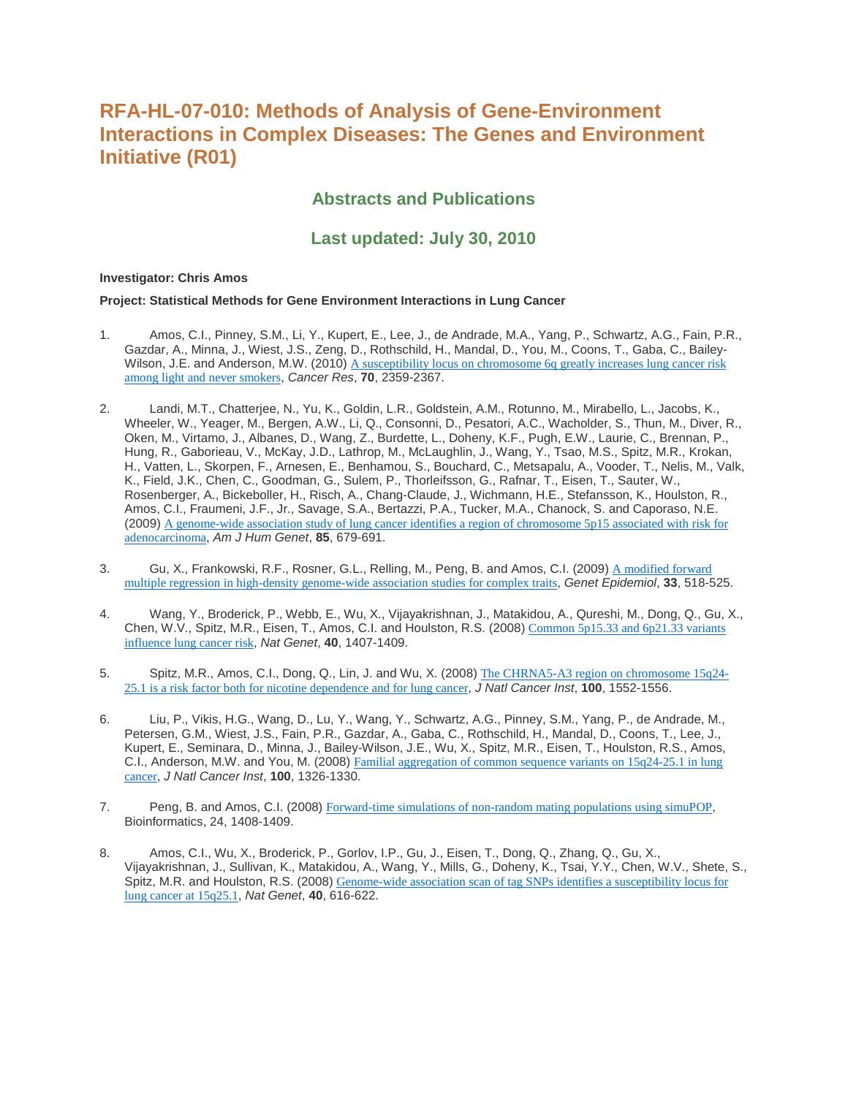# **RFA-HL-07-010: Methods of Analysis of Gene-Environment Interactions in Complex Diseases: The Genes and Environment Initiative (R01)**

## **Abstracts and Publications**

## **Last updated: July 30, 2010**

## **Investigator: Chris Amos**

#### **Project: Statistical Methods for Gene Environment Interactions in Lung Cancer**

- 1. Amos, C.I., Pinney, S.M., Li, Y., Kupert, E., Lee, J., de Andrade, M.A., Yang, P., Schwartz, A.G., Fain, P.R., Gazdar, A., Minna, J., Wiest, J.S., Zeng, D., Rothschild, H., Mandal, D., You, M., Coons, T., Gaba, C., Bailey-Wilson, J.E. and Anderson, M.W. (2010) A susceptibility locus on chromosome 6q greatly increases lung cancer risk [among light and never smokers](http://www.ncbi.nlm.nih.gov/entrez/query.fcgi?cmd=Retrieve&db=PubMed&dopt=Citation&list_uids=20215501), *Cancer Res*, **70**, 2359-2367.
- 2. Landi, M.T., Chatterjee, N., Yu, K., Goldin, L.R., Goldstein, A.M., Rotunno, M., Mirabello, L., Jacobs, K., Wheeler, W., Yeager, M., Bergen, A.W., Li, Q., Consonni, D., Pesatori, A.C., Wacholder, S., Thun, M., Diver, R., Oken, M., Virtamo, J., Albanes, D., Wang, Z., Burdette, L., Doheny, K.F., Pugh, E.W., Laurie, C., Brennan, P., Hung, R., Gaborieau, V., McKay, J.D., Lathrop, M., McLaughlin, J., Wang, Y., Tsao, M.S., Spitz, M.R., Krokan, H., Vatten, L., Skorpen, F., Arnesen, E., Benhamou, S., Bouchard, C., Metsapalu, A., Vooder, T., Nelis, M., Valk, K., Field, J.K., Chen, C., Goodman, G., Sulem, P., Thorleifsson, G., Rafnar, T., Eisen, T., Sauter, W., Rosenberger, A., Bickeboller, H., Risch, A., Chang-Claude, J., Wichmann, H.E., Stefansson, K., Houlston, R., Amos, C.I., Fraumeni, J.F., Jr., Savage, S.A., Bertazzi, P.A., Tucker, M.A., Chanock, S. and Caporaso, N.E. (2009) [A genome-wide association study of lung cancer identifies a region of chromosome 5p15 associated with risk for](http://www.ncbi.nlm.nih.gov/entrez/query.fcgi?cmd=Retrieve&db=PubMed&dopt=Citation&list_uids=19836008)  [adenocarcinoma](http://www.ncbi.nlm.nih.gov/entrez/query.fcgi?cmd=Retrieve&db=PubMed&dopt=Citation&list_uids=19836008), *Am J Hum Genet*, **85**, 679-691.
- 3. Gu, X., Frankowski, R.F., Rosner, G.L., Relling, M., Peng, B. and Amos, C.I. (2009) A modified forward [multiple regression in high-density genome-wide association studies for complex traits](http://www.ncbi.nlm.nih.gov/entrez/query.fcgi?cmd=Retrieve&db=PubMed&dopt=Citation&list_uids=19365845), *Genet Epidemiol*, **33**, 518-525.
- 4. Wang, Y., Broderick, P., Webb, E., Wu, X., Vijayakrishnan, J., Matakidou, A., Qureshi, M., Dong, Q., Gu, X., Chen, W.V., Spitz, M.R., Eisen, T., Amos, C.I. and Houlston, R.S. (2008) [Common 5p15.33 and 6p21.33 variants](http://www.ncbi.nlm.nih.gov/entrez/query.fcgi?cmd=Retrieve&db=PubMed&dopt=Citation&list_uids=18978787)  [influence lung cancer risk](http://www.ncbi.nlm.nih.gov/entrez/query.fcgi?cmd=Retrieve&db=PubMed&dopt=Citation&list_uids=18978787), *Nat Genet*, **40**, 1407-1409.
- 5. Spitz, M.R., Amos, C.I., Dong, Q., Lin, J. and Wu, X. (2008) [The CHRNA5-A3 region on chromosome 15q24-](http://www.ncbi.nlm.nih.gov/entrez/query.fcgi?cmd=Retrieve&db=PubMed&dopt=Citation&list_uids=18957677) [25.1 is a risk factor both for nicotine dependence and for lung cancer](http://www.ncbi.nlm.nih.gov/entrez/query.fcgi?cmd=Retrieve&db=PubMed&dopt=Citation&list_uids=18957677), *J Natl Cancer Inst*, **100**, 1552-1556.
- 6. Liu, P., Vikis, H.G., Wang, D., Lu, Y., Wang, Y., Schwartz, A.G., Pinney, S.M., Yang, P., de Andrade, M., Petersen, G.M., Wiest, J.S., Fain, P.R., Gazdar, A., Gaba, C., Rothschild, H., Mandal, D., Coons, T., Lee, J., Kupert, E., Seminara, D., Minna, J., Bailey-Wilson, J.E., Wu, X., Spitz, M.R., Eisen, T., Houlston, R.S., Amos, C.I., Anderson, M.W. and You, M. (2008) [Familial aggregation of common sequence variants on 15q24-25.1 in lung](http://www.ncbi.nlm.nih.gov/entrez/query.fcgi?cmd=Retrieve&db=PubMed&dopt=Citation&list_uids=18780872)  [cancer](http://www.ncbi.nlm.nih.gov/entrez/query.fcgi?cmd=Retrieve&db=PubMed&dopt=Citation&list_uids=18780872), *J Natl Cancer Inst*, **100**, 1326-1330.
- 7. Peng, B. and Amos, C.I. (2008) [Forward-time simulations of non-random mating populations using simuPOP](http://www.ncbi.nlm.nih.gov/entrez/query.fcgi?cmd=Retrieve&db=PubMed&dopt=Citation&list_uids=18417488), Bioinformatics, 24, 1408-1409.
- 8. Amos, C.I., Wu, X., Broderick, P., Gorlov, I.P., Gu, J., Eisen, T., Dong, Q., Zhang, Q., Gu, X., Vijayakrishnan, J., Sullivan, K., Matakidou, A., Wang, Y., Mills, G., Doheny, K., Tsai, Y.Y., Chen, W.V., Shete, S., Spitz, M.R. and Houlston, R.S. (2008) [Genome-wide association scan of tag SNPs identifies a susceptibility locus for](http://www.ncbi.nlm.nih.gov/entrez/query.fcgi?cmd=Retrieve&db=PubMed&dopt=Citation&list_uids=18385676)  [lung cancer at 15q25.1](http://www.ncbi.nlm.nih.gov/entrez/query.fcgi?cmd=Retrieve&db=PubMed&dopt=Citation&list_uids=18385676), *Nat Genet*, **40**, 616-622.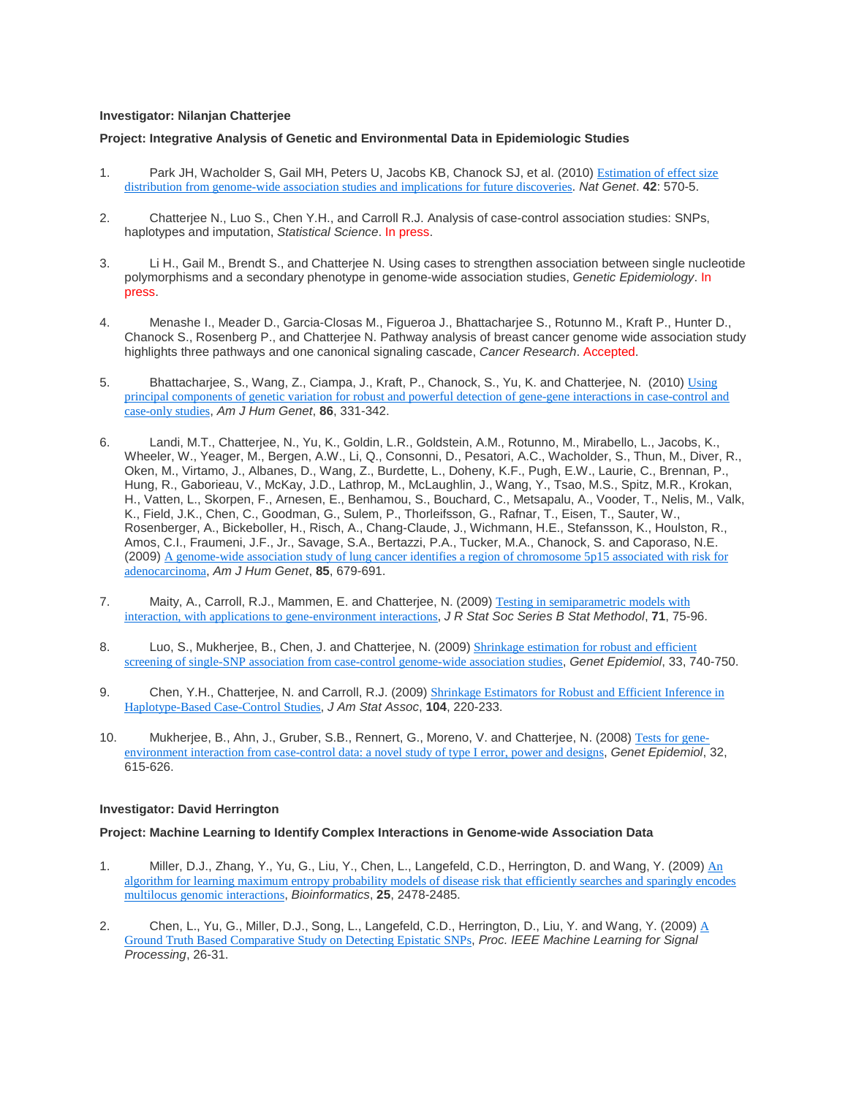#### **Investigator: Nilanjan Chatterjee**

#### **Project: Integrative Analysis of Genetic and Environmental Data in Epidemiologic Studies**

- 1. Park JH, Wacholder S, Gail MH, Peters U, Jacobs KB, Chanock SJ, et al. (2010) [Estimation of effect size](http://www.ncbi.nlm.nih.gov/entrez/query.fcgi?cmd=Retrieve&db=PubMed&dopt=Citation&list_uids=20562874)  [distribution from genome-wide association studies and implications for future discoveries](http://www.ncbi.nlm.nih.gov/entrez/query.fcgi?cmd=Retrieve&db=PubMed&dopt=Citation&list_uids=20562874). *Nat Genet*. **42**: 570-5.
- 2. Chatterjee N., Luo S., Chen Y.H., and Carroll R.J. Analysis of case-control association studies: SNPs, haplotypes and imputation, *Statistical Science*. In press.
- 3. Li H., Gail M., Brendt S., and Chatterjee N. Using cases to strengthen association between single nucleotide polymorphisms and a secondary phenotype in genome-wide association studies, *Genetic Epidemiology*. In press.
- 4. Menashe I., Meader D., Garcia-Closas M., Figueroa J., Bhattacharjee S., Rotunno M., Kraft P., Hunter D., Chanock S., Rosenberg P., and Chatterjee N. Pathway analysis of breast cancer genome wide association study highlights three pathways and one canonical signaling cascade, *Cancer Research*. Accepted.
- 5. Bhattacharjee, S., Wang, Z., Ciampa, J., Kraft, P., Chanock, S., Yu, K. and Chatterjee, N. (2010) Using [principal components of genetic variation for robust and powerful detection of gene-gene interactions in case-control and](http://www.ncbi.nlm.nih.gov/entrez/query.fcgi?cmd=Retrieve&db=PubMed&dopt=Citation&list_uids=20206333)  [case-only studies](http://www.ncbi.nlm.nih.gov/entrez/query.fcgi?cmd=Retrieve&db=PubMed&dopt=Citation&list_uids=20206333), *Am J Hum Genet*, **86**, 331-342.
- 6. Landi, M.T., Chatterjee, N., Yu, K., Goldin, L.R., Goldstein, A.M., Rotunno, M., Mirabello, L., Jacobs, K., Wheeler, W., Yeager, M., Bergen, A.W., Li, Q., Consonni, D., Pesatori, A.C., Wacholder, S., Thun, M., Diver, R., Oken, M., Virtamo, J., Albanes, D., Wang, Z., Burdette, L., Doheny, K.F., Pugh, E.W., Laurie, C., Brennan, P., Hung, R., Gaborieau, V., McKay, J.D., Lathrop, M., McLaughlin, J., Wang, Y., Tsao, M.S., Spitz, M.R., Krokan, H., Vatten, L., Skorpen, F., Arnesen, E., Benhamou, S., Bouchard, C., Metsapalu, A., Vooder, T., Nelis, M., Valk, K., Field, J.K., Chen, C., Goodman, G., Sulem, P., Thorleifsson, G., Rafnar, T., Eisen, T., Sauter, W., Rosenberger, A., Bickeboller, H., Risch, A., Chang-Claude, J., Wichmann, H.E., Stefansson, K., Houlston, R., Amos, C.I., Fraumeni, J.F., Jr., Savage, S.A., Bertazzi, P.A., Tucker, M.A., Chanock, S. and Caporaso, N.E. (2009) [A genome-wide association study of lung cancer identifies a region of chromosome 5p15 associated with risk for](http://www.ncbi.nlm.nih.gov/entrez/query.fcgi?cmd=Retrieve&db=PubMed&dopt=Citation&list_uids=19836008)  [adenocarcinoma](http://www.ncbi.nlm.nih.gov/entrez/query.fcgi?cmd=Retrieve&db=PubMed&dopt=Citation&list_uids=19836008), *Am J Hum Genet*, **85**, 679-691.
- 7. Maity, A., Carroll, R.J., Mammen, E. and Chatterjee, N. (2009) Testing in semiparametric models with [interaction, with applications to gene-environment interactions](http://www.ncbi.nlm.nih.gov/entrez/query.fcgi?cmd=Retrieve&db=PubMed&dopt=Citation&list_uids=19838317), *J R Stat Soc Series B Stat Methodol*, **71**, 75-96.
- 8. Luo, S., Mukherjee, B., Chen, J. and Chatterjee, N. (2009) **Shrinkage estimation for robust and efficient** [screening of single-SNP association from case-control genome-wide association studies](http://www.ncbi.nlm.nih.gov/entrez/query.fcgi?cmd=Retrieve&db=PubMed&dopt=Citation&list_uids=19434716), *Genet Epidemiol*, 33, 740-750.
- 9. Chen, Y.H., Chatterjee, N. and Carroll, R.J. (2009) **Shrinkage Estimators for Robust and Efficient Inference in** [Haplotype-Based Case-Control Studies](http://www.ncbi.nlm.nih.gov/entrez/query.fcgi?cmd=Retrieve&db=PubMed&dopt=Citation&list_uids=19430598), *J Am Stat Assoc*, **104**, 220-233.
- 10. Mukherjee, B., Ahn, J., Gruber, S.B., Rennert, G., Moreno, V. and Chatterjee, N. (2008) [Tests for gene](http://www.ncbi.nlm.nih.gov/entrez/query.fcgi?cmd=Retrieve&db=PubMed&dopt=Citation&list_uids=18473390)[environment interaction from case-control data: a novel study of type I error, power and designs](http://www.ncbi.nlm.nih.gov/entrez/query.fcgi?cmd=Retrieve&db=PubMed&dopt=Citation&list_uids=18473390), *Genet Epidemiol*, 32, 615-626.

## **Investigator: David Herrington**

#### **Project: Machine Learning to Identify Complex Interactions in Genome-wide Association Data**

- 1. Miller, D.J., Zhang, Y., Yu, G., Liu, Y., Chen, L., Langefeld, C.D., Herrington, D. and Wang, Y. (2009) An [algorithm for learning maximum entropy probability models of disease risk that efficiently searches and sparingly encodes](http://www.ncbi.nlm.nih.gov/entrez/query.fcgi?cmd=Retrieve&db=PubMed&dopt=Citation&list_uids=19608708)  [multilocus genomic interactions](http://www.ncbi.nlm.nih.gov/entrez/query.fcgi?cmd=Retrieve&db=PubMed&dopt=Citation&list_uids=19608708), *Bioinformatics*, **25**, 2478-2485.
- 2. Chen, L., Yu, G., Miller, D.J., Song, L., Langefeld, C.D., Herrington, D., Liu, Y. and Wang, Y. (2009) A [Ground Truth Based Comparative Study on Detecting Epistatic SNPs](http://ieeexplore.ieee.org/xpl/freeabs_all.jsp?arnumber=5332132&abstractAccess=no&userType=inst), *Proc. IEEE Machine Learning for Signal Processing*, 26-31.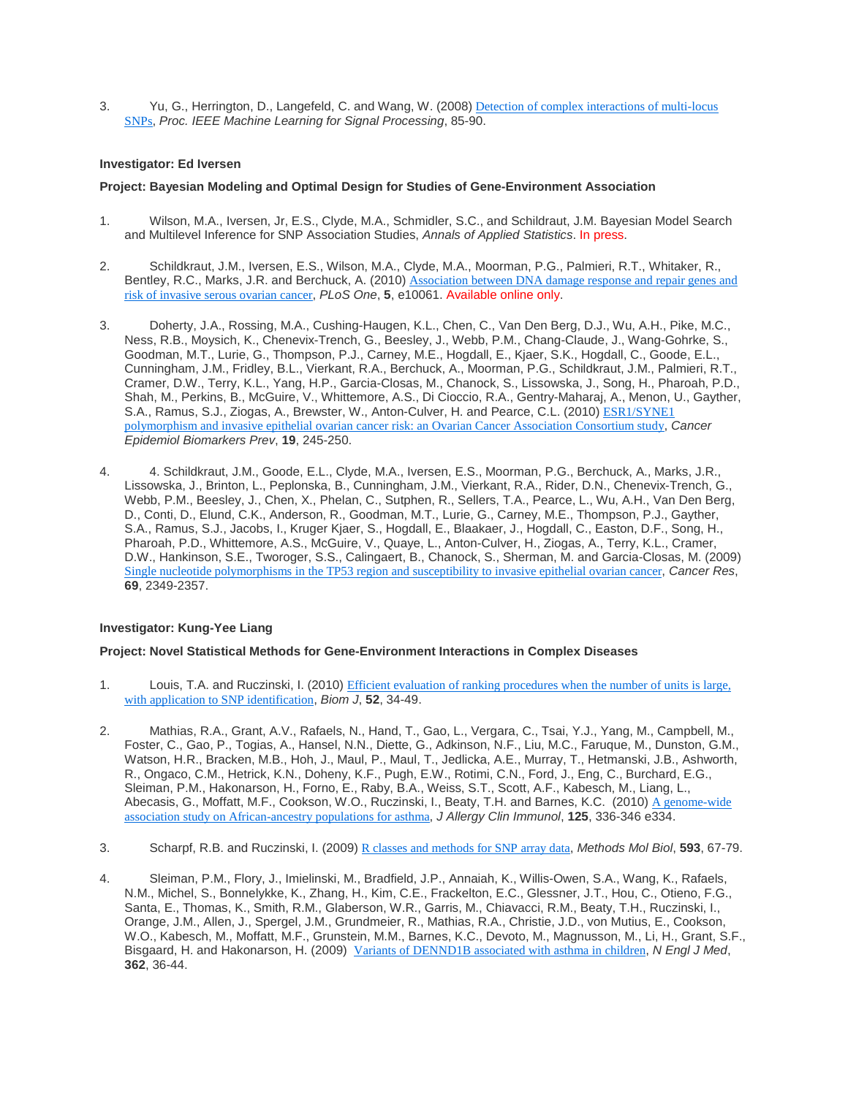3. Yu, G., Herrington, D., Langefeld, C. and Wang, W. (2008) [Detection of complex interactions of multi-locus](http://ieeexplore.ieee.org/Xplore/defdeny.jsp?url=http%3A%2F%2Fieeexplore.ieee.org%2Fstamp%2Fstamp.jsp%3Ftp%3D%26arnumber%3D4685460%26userType%3Dinst&denyReason=-134&arnumber=4685460&productsMatched=null&userType=inst)  [SNPs](http://ieeexplore.ieee.org/Xplore/defdeny.jsp?url=http%3A%2F%2Fieeexplore.ieee.org%2Fstamp%2Fstamp.jsp%3Ftp%3D%26arnumber%3D4685460%26userType%3Dinst&denyReason=-134&arnumber=4685460&productsMatched=null&userType=inst), *Proc. IEEE Machine Learning for Signal Processing*, 85-90.

## **Investigator: Ed Iversen**

## **Project: Bayesian Modeling and Optimal Design for Studies of Gene-Environment Association**

- 1. Wilson, M.A., Iversen, Jr, E.S., Clyde, M.A., Schmidler, S.C., and Schildraut, J.M. Bayesian Model Search and Multilevel Inference for SNP Association Studies, *Annals of Applied Statistics*. In press.
- 2. Schildkraut, J.M., Iversen, E.S., Wilson, M.A., Clyde, M.A., Moorman, P.G., Palmieri, R.T., Whitaker, R., Bentley, R.C., Marks, J.R. and Berchuck, A. (2010) Association between DNA damage response and repair genes and [risk of invasive serous ovarian cancer](http://www.ncbi.nlm.nih.gov/entrez/query.fcgi?cmd=Retrieve&db=PubMed&dopt=Citation&list_uids=20386703), *PLoS One*, **5**, e10061. Available online only.
- 3. Doherty, J.A., Rossing, M.A., Cushing-Haugen, K.L., Chen, C., Van Den Berg, D.J., Wu, A.H., Pike, M.C., Ness, R.B., Moysich, K., Chenevix-Trench, G., Beesley, J., Webb, P.M., Chang-Claude, J., Wang-Gohrke, S., Goodman, M.T., Lurie, G., Thompson, P.J., Carney, M.E., Hogdall, E., Kjaer, S.K., Hogdall, C., Goode, E.L., Cunningham, J.M., Fridley, B.L., Vierkant, R.A., Berchuck, A., Moorman, P.G., Schildkraut, J.M., Palmieri, R.T., Cramer, D.W., Terry, K.L., Yang, H.P., Garcia-Closas, M., Chanock, S., Lissowska, J., Song, H., Pharoah, P.D., Shah, M., Perkins, B., McGuire, V., Whittemore, A.S., Di Cioccio, R.A., Gentry-Maharaj, A., Menon, U., Gayther, S.A., Ramus, S.J., Ziogas, A., Brewster, W., Anton-Culver, H. and Pearce, C.L. (2010) ESR1/SYNE1 [polymorphism and invasive epithelial ovarian cancer risk: an Ovarian Cancer Association Consortium study](http://www.ncbi.nlm.nih.gov/entrez/query.fcgi?cmd=Retrieve&db=PubMed&dopt=Citation&list_uids=20056644), *Cancer Epidemiol Biomarkers Prev*, **19**, 245-250.
- 4. 4. Schildkraut, J.M., Goode, E.L., Clyde, M.A., Iversen, E.S., Moorman, P.G., Berchuck, A., Marks, J.R., Lissowska, J., Brinton, L., Peplonska, B., Cunningham, J.M., Vierkant, R.A., Rider, D.N., Chenevix-Trench, G., Webb, P.M., Beesley, J., Chen, X., Phelan, C., Sutphen, R., Sellers, T.A., Pearce, L., Wu, A.H., Van Den Berg, D., Conti, D., Elund, C.K., Anderson, R., Goodman, M.T., Lurie, G., Carney, M.E., Thompson, P.J., Gayther, S.A., Ramus, S.J., Jacobs, I., Kruger Kjaer, S., Hogdall, E., Blaakaer, J., Hogdall, C., Easton, D.F., Song, H., Pharoah, P.D., Whittemore, A.S., McGuire, V., Quaye, L., Anton-Culver, H., Ziogas, A., Terry, K.L., Cramer, D.W., Hankinson, S.E., Tworoger, S.S., Calingaert, B., Chanock, S., Sherman, M. and Garcia-Closas, M. (2009) [Single nucleotide polymorphisms in the TP53 region and susceptibility to invasive epithelial ovarian cancer](http://www.ncbi.nlm.nih.gov/entrez/query.fcgi?cmd=Retrieve&db=PubMed&dopt=Citation&list_uids=19276375), *Cancer Res*, **69**, 2349-2357.

## **Investigator: Kung-Yee Liang**

## **Project: Novel Statistical Methods for Gene-Environment Interactions in Complex Diseases**

- 1. Louis, T.A. and Ruczinski, I. (2010) [Efficient evaluation of ranking procedures when the number of units is](http://www.ncbi.nlm.nih.gov/entrez/query.fcgi?cmd=Retrieve&db=PubMed&dopt=Citation&list_uids=20131327) large, [with application to SNP identification](http://www.ncbi.nlm.nih.gov/entrez/query.fcgi?cmd=Retrieve&db=PubMed&dopt=Citation&list_uids=20131327), *Biom J*, **52**, 34-49.
- 2. Mathias, R.A., Grant, A.V., Rafaels, N., Hand, T., Gao, L., Vergara, C., Tsai, Y.J., Yang, M., Campbell, M., Foster, C., Gao, P., Togias, A., Hansel, N.N., Diette, G., Adkinson, N.F., Liu, M.C., Faruque, M., Dunston, G.M., Watson, H.R., Bracken, M.B., Hoh, J., Maul, P., Maul, T., Jedlicka, A.E., Murray, T., Hetmanski, J.B., Ashworth, R., Ongaco, C.M., Hetrick, K.N., Doheny, K.F., Pugh, E.W., Rotimi, C.N., Ford, J., Eng, C., Burchard, E.G., Sleiman, P.M., Hakonarson, H., Forno, E., Raby, B.A., Weiss, S.T., Scott, A.F., Kabesch, M., Liang, L., Abecasis, G., Moffatt, M.F., Cookson, W.O., Ruczinski, I., Beaty, T.H. and Barnes, K.C. (2010) A genome-wide [association study on African-ancestry populations for asthma](http://www.ncbi.nlm.nih.gov/entrez/query.fcgi?cmd=Retrieve&db=PubMed&dopt=Citation&list_uids=19910028), *J Allergy Clin Immunol*, **125**, 336-346 e334.
- 3. Scharpf, R.B. and Ruczinski, I. (2009) [R classes and methods for SNP array data](http://www.ncbi.nlm.nih.gov/entrez/query.fcgi?cmd=Retrieve&db=PubMed&dopt=Citation&list_uids=19957145), *Methods Mol Biol*, **593**, 67-79.
- 4. Sleiman, P.M., Flory, J., Imielinski, M., Bradfield, J.P., Annaiah, K., Willis-Owen, S.A., Wang, K., Rafaels, N.M., Michel, S., Bonnelykke, K., Zhang, H., Kim, C.E., Frackelton, E.C., Glessner, J.T., Hou, C., Otieno, F.G., Santa, E., Thomas, K., Smith, R.M., Glaberson, W.R., Garris, M., Chiavacci, R.M., Beaty, T.H., Ruczinski, I., Orange, J.M., Allen, J., Spergel, J.M., Grundmeier, R., Mathias, R.A., Christie, J.D., von Mutius, E., Cookson, W.O., Kabesch, M., Moffatt, M.F., Grunstein, M.M., Barnes, K.C., Devoto, M., Magnusson, M., Li, H., Grant, S.F., Bisgaard, H. and Hakonarson, H. (2009) [Variants of DENND1B associated with asthma in children](http://www.ncbi.nlm.nih.gov/entrez/query.fcgi?cmd=Retrieve&db=PubMed&dopt=Citation&list_uids=20032318), *N Engl J Med*, **362**, 36-44.